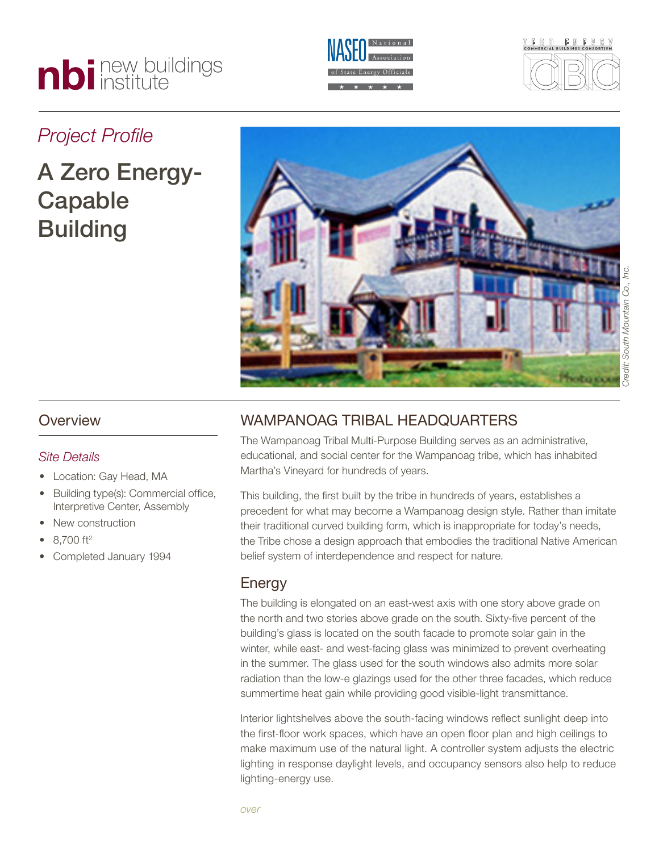# nbi new buildings





### *Project Profile*

## A Zero Energy-Capable **Building**



#### *Site Details*

- Location: Gay Head, MA
- Building type(s): Commercial office, Interpretive Center, Assembly
- New construction
- 8,700 ft<sup>2</sup>
- Completed January 1994

#### Wampanoag Tribal Headquarters

The Wampanoag Tribal Multi-Purpose Building serves as an administrative, educational, and social center for the Wampanoag tribe, which has inhabited Martha's Vineyard for hundreds of years.

This building, the first built by the tribe in hundreds of years, establishes a precedent for what may become a Wampanoag design style. Rather than imitate their traditional curved building form, which is inappropriate for today's needs, the Tribe chose a design approach that embodies the traditional Native American belief system of interdependence and respect for nature.

#### Energy

The building is elongated on an east-west axis with one story above grade on the north and two stories above grade on the south. Sixty-five percent of the building's glass is located on the south facade to promote solar gain in the winter, while east- and west-facing glass was minimized to prevent overheating in the summer. The glass used for the south windows also admits more solar radiation than the low-e glazings used for the other three facades, which reduce summertime heat gain while providing good visible-light transmittance.

Interior lightshelves above the south-facing windows reflect sunlight deep into the first-floor work spaces, which have an open floor plan and high ceilings to make maximum use of the natural light. A controller system adjusts the electric lighting in response daylight levels, and occupancy sensors also help to reduce lighting-energy use.